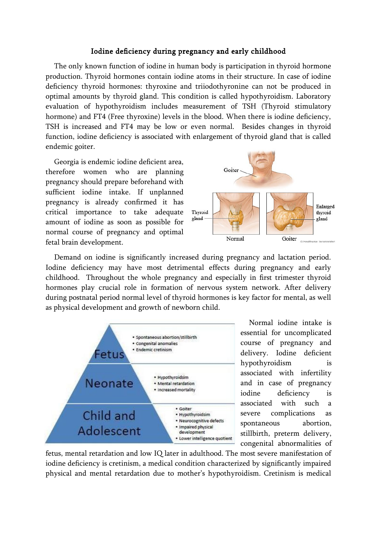## Iodine deficiency during pregnancy and early childhood

The only known function of iodine in human body is participation in thyroid hormone production. Thyroid hormones contain iodine atoms in their structure. In case of iodine deficiency thyroid hormones: thyroxine and triiodothyronine can not be produced in optimal amounts by thyroid gland. This condition is called hypothyroidism. Laboratory evaluation of hypothyroidism includes measurement of TSH (Thyroid stimulatory hormone) and FT4 (Free thyroxine) levels in the blood. When there is iodine deficiency, TSH is increased and FT4 may be low or even normal. Besides changes in thyroid function, iodine deficiency is associated with enlargement of thyroid gland that is called endemic goiter.

Georgia is endemic iodine deficient area, therefore women who are planning pregnancy should prepare beforehand with sufficient iodine intake. If unplanned pregnancy is already confirmed it has critical importance to take adequate amount of iodine as soon as possible for normal course of pregnancy and optimal fetal brain development.



Demand on iodine is significantly increased during pregnancy and lactation period. Iodine deficiency may have most detrimental effects during pregnancy and early childhood. Throughout the whole pregnancy and especially in first trimester thyroid hormones play crucial role in formation of nervous system network. After delivery during postnatal period normal level of thyroid hormones is key factor for mental, as well as physical development and growth of newborn child.



Normal iodine intake is essential for uncomplicated course of pregnancy and delivery. Iodine deficient hypothyroidism is associated with infertility and in case of pregnancy iodine deficiency is associated with such a severe complications as spontaneous abortion, stillbirth, preterm delivery, congenital abnormalities of

fetus, mental retardation and low IQ later in adulthood. The most severe manifestation of iodine deficiency is cretinism, a medical condition characterized by significantly impaired physical and mental retardation due to mother's hypothyroidism. Cretinism is medical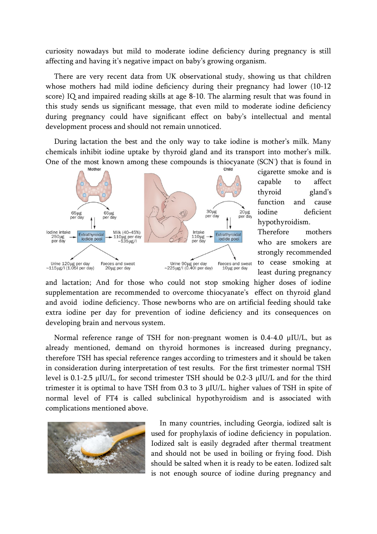curiosity nowadays but mild to moderate iodine deficiency during pregnancy is still affecting and having it's negative impact on baby's growing organism.

There are very recent data from UK observational study, showing us that children whose mothers had mild iodine deficiency during their pregnancy had lower (10-12 score) IQ and impaired reading skills at age 8-10. The alarming result that was found in this study sends us significant message, that even mild to moderate iodine deficiency during pregnancy could have significant effect on baby's intellectual and mental development process and should not remain unnoticed.

During lactation the best and the only way to take iodine is mother's milk. Many chemicals inhibit iodine uptake by thyroid gland and its transport into mother's milk. One of the most known among these compounds is thiocyanate (SCN- ) that is found in



cigarette smoke and is capable to affect thyroid gland's function and cause iodine deficient hypothyroidism.

Therefore mothers who are smokers are strongly recommended to cease smoking at least during pregnancy

and lactation; And for those who could not stop smoking higher doses of iodine supplementation are recommended to overcome thiocyanate's effect on thyroid gland and avoid iodine deficiency. Those newborns who are on artificial feeding should take extra iodine per day for prevention of iodine deficiency and its consequences on developing brain and nervous system.

Normal reference range of TSH for non-pregnant women is 0.4-4.0 μIU/L, but as already mentioned, demand on thyroid hormones is increased during pregnancy, therefore TSH has special reference ranges according to trimesters and it should be taken in consideration during interpretation of test results. For the first trimester normal TSH level is 0.1-2.5 μIU/L, for second trimester TSH should be 0.2-3 μIU/L and for the third trimester it is optimal to have TSH from 0.3 to 3 μIU/L. higher values of TSH in spite of normal level of FT4 is called subclinical hypothyroidism and is associated with complications mentioned above.



In many countries, including Georgia, iodized salt is used for prophylaxis of iodine deficiency in population. Iodized salt is easily degraded after thermal treatment and should not be used in boiling or frying food. Dish should be salted when it is ready to be eaten. Iodized salt is not enough source of iodine during pregnancy and